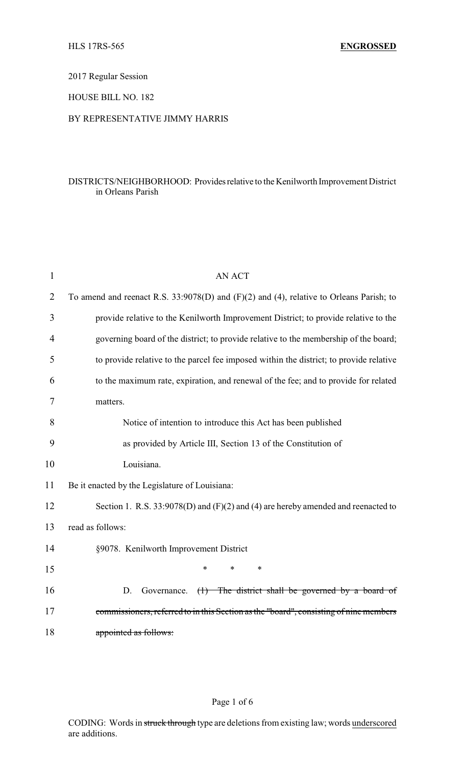2017 Regular Session

HOUSE BILL NO. 182

## BY REPRESENTATIVE JIMMY HARRIS

## DISTRICTS/NEIGHBORHOOD: Providesrelative to the Kenilworth Improvement District in Orleans Parish

| $\mathbf{1}$   | <b>AN ACT</b>                                                                           |
|----------------|-----------------------------------------------------------------------------------------|
| $\overline{2}$ | To amend and reenact R.S. 33:9078(D) and (F)(2) and (4), relative to Orleans Parish; to |
| 3              | provide relative to the Kenilworth Improvement District; to provide relative to the     |
| 4              | governing board of the district; to provide relative to the membership of the board;    |
| 5              | to provide relative to the parcel fee imposed within the district; to provide relative  |
| 6              | to the maximum rate, expiration, and renewal of the fee; and to provide for related     |
| 7              | matters.                                                                                |
| 8              | Notice of intention to introduce this Act has been published                            |
| 9              | as provided by Article III, Section 13 of the Constitution of                           |
| 10             | Louisiana.                                                                              |
| 11             | Be it enacted by the Legislature of Louisiana:                                          |
| 12             | Section 1. R.S. $33:9078(D)$ and $(F)(2)$ and $(4)$ are hereby amended and reenacted to |
| 13             | read as follows:                                                                        |
| 14             | §9078. Kenilworth Improvement District                                                  |
| 15             | $\ast$<br>$\ast$<br>$\ast$                                                              |
| 16             | $(1)$ The district shall be governed by a board of<br>D.<br>Governance.                 |
| 17             | commissioners, referred to in this Section as the "board", consisting of nine members   |
| 18             | appointed as follows:                                                                   |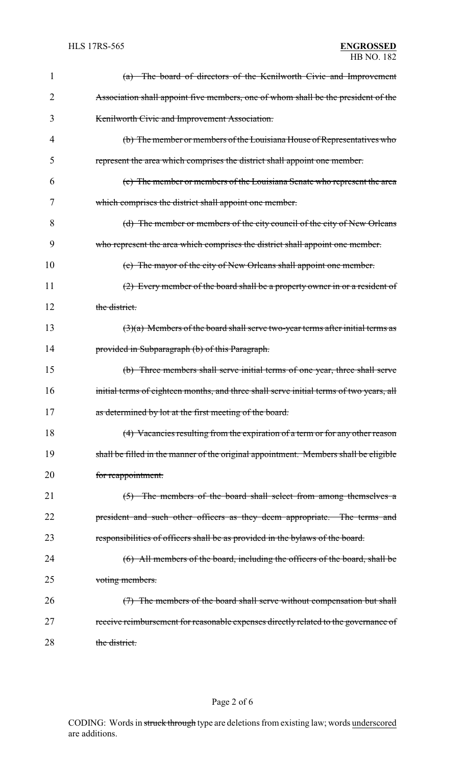| 1  | (a) The board of directors of the Kenilworth Civic and Improvement                      |
|----|-----------------------------------------------------------------------------------------|
| 2  | Association shall appoint five members, one of whom shall be the president of the       |
| 3  | Kenilworth Civic and Improvement Association.                                           |
| 4  | (b) The member or members of the Louisiana House of Representatives who                 |
| 5  | represent the area which comprises the district shall appoint one member.               |
| 6  | (c) The member or members of the Louisiana Senate who represent the area                |
| 7  | which comprises the district shall appoint one member.                                  |
| 8  | (d) The member or members of the city council of the city of New Orleans                |
| 9  | who represent the area which comprises the district shall appoint one member.           |
| 10 | (e) The mayor of the city of New Orleans shall appoint one member.                      |
| 11 | (2) Every member of the board shall be a property owner in or a resident of             |
| 12 | the district.                                                                           |
| 13 | $(3)(a)$ Members of the board shall serve two-year terms after initial terms as         |
| 14 | provided in Subparagraph (b) of this Paragraph.                                         |
| 15 | (b) Three members shall serve initial terms of one year, three shall serve              |
| 16 | initial terms of eighteen months, and three shall serve initial terms of two years, all |
| 17 | as determined by lot at the first meeting of the board.                                 |
| 18 | (4) Vacancies resulting from the expiration of a term or for any other reason           |
| 19 | shall be filled in the manner of the original appointment. Members shall be eligible    |
| 20 | for reappointment.                                                                      |
| 21 | (5) The members of the board shall select from among themselves a                       |
| 22 | president and such other officers as they deem appropriate. The terms and               |
| 23 | responsibilities of officers shall be as provided in the bylaws of the board.           |
| 24 | (6) All members of the board, including the officers of the board, shall be             |
| 25 | voting members.                                                                         |
| 26 | (7) The members of the board shall serve without compensation but shall                 |
| 27 | receive reimbursement for reasonable expenses directly related to the governance of     |
| 28 | the district.                                                                           |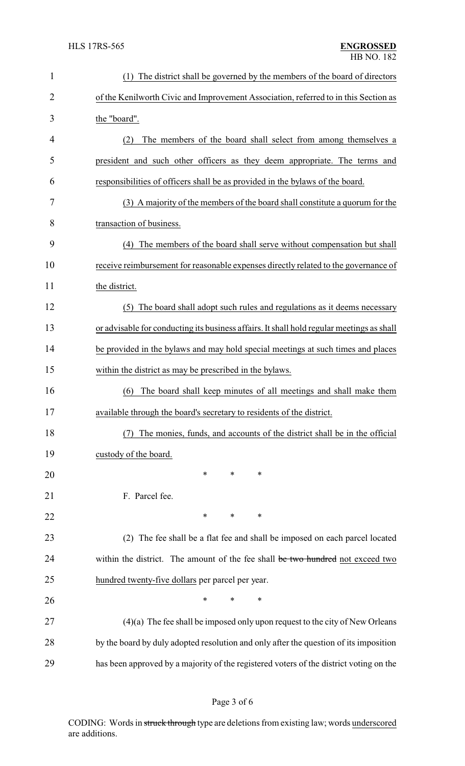| $\mathbf{1}$   | The district shall be governed by the members of the board of directors<br>(1)            |
|----------------|-------------------------------------------------------------------------------------------|
| $\overline{2}$ | of the Kenilworth Civic and Improvement Association, referred to in this Section as       |
| 3              | the "board".                                                                              |
| 4              | The members of the board shall select from among themselves a<br>(2)                      |
| 5              | president and such other officers as they deem appropriate. The terms and                 |
| 6              | responsibilities of officers shall be as provided in the bylaws of the board.             |
| 7              | (3) A majority of the members of the board shall constitute a quorum for the              |
| 8              | transaction of business.                                                                  |
| 9              | The members of the board shall serve without compensation but shall<br>(4)                |
| 10             | receive reimbursement for reasonable expenses directly related to the governance of       |
| 11             | the district.                                                                             |
| 12             | The board shall adopt such rules and regulations as it deems necessary<br>(5)             |
| 13             | or advisable for conducting its business affairs. It shall hold regular meetings as shall |
| 14             | be provided in the bylaws and may hold special meetings at such times and places          |
| 15             | within the district as may be prescribed in the bylaws.                                   |
| 16             | The board shall keep minutes of all meetings and shall make them<br>(6)                   |
| 17             | available through the board's secretary to residents of the district.                     |
| 18             | The monies, funds, and accounts of the district shall be in the official                  |
| 19             | custody of the board.                                                                     |
| 20             | ∗<br>∗<br>∗                                                                               |
| 21             | F. Parcel fee.                                                                            |
| 22             | $\ast$<br>*<br>∗                                                                          |
| 23             | (2) The fee shall be a flat fee and shall be imposed on each parcel located               |
| 24             | within the district. The amount of the fee shall be two hundred not exceed two            |
| 25             | hundred twenty-five dollars per parcel per year.                                          |
| 26             | ∗<br>∗<br>∗                                                                               |
| 27             | $(4)(a)$ The fee shall be imposed only upon request to the city of New Orleans            |
| 28             | by the board by duly adopted resolution and only after the question of its imposition     |
| 29             | has been approved by a majority of the registered voters of the district voting on the    |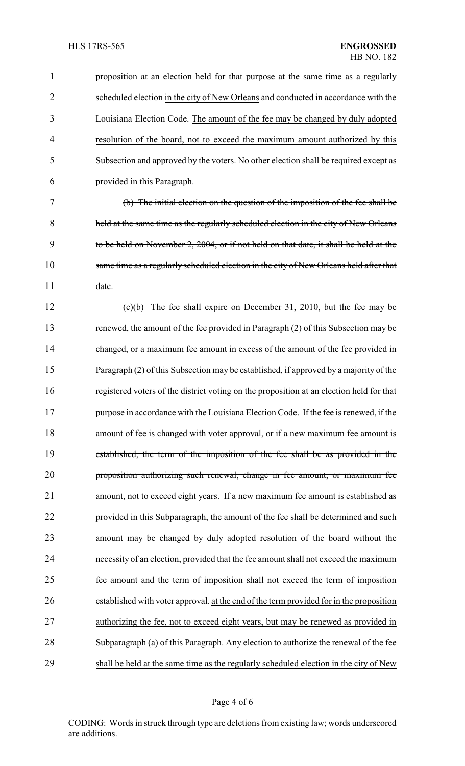proposition at an election held for that purpose at the same time as a regularly scheduled election in the city of New Orleans and conducted in accordance with the Louisiana Election Code. The amount of the fee may be changed by duly adopted resolution of the board, not to exceed the maximum amount authorized by this Subsection and approved by the voters. No other election shall be required except as provided in this Paragraph. (b) The initial election on the question of the imposition of the fee shall be held at the same time as the regularly scheduled election in the city of New Orleans to be held on November 2, 2004, or if not held on that date, it shall be held at the same time as a regularly scheduled election in the city of New Orleans held after that 11 date. 12 (c)(b) The fee shall expire on December 31, 2010, but the fee may be 13 renewed, the amount of the fee provided in Paragraph (2) of this Subsection may be 14 changed, or a maximum fee amount in excess of the amount of the fee provided in 15 Paragraph (2) of this Subsection may be established, if approved by a majority of the registered voters of the district voting on the proposition at an election held for that 17 purpose in accordance with the Louisiana Election Code. If the fee is renewed, if the 18 amount of fee is changed with voter approval, or if a new maximum fee amount is established, the term of the imposition of the fee shall be as provided in the proposition authorizing such renewal, change in fee amount, or maximum fee amount, not to exceed eight years. If a new maximum fee amount is established as 22 provided in this Subparagraph, the amount of the fee shall be determined and such amount may be changed by duly adopted resolution of the board without the necessity of an election, provided that the fee amount shall not exceed the maximum fee amount and the term of imposition shall not exceed the term of imposition 26 established with voter approval. at the end of the term provided for in the proposition authorizing the fee, not to exceed eight years, but may be renewed as provided in Subparagraph (a) of this Paragraph. Any election to authorize the renewal of the fee shall be held at the same time as the regularly scheduled election in the city of New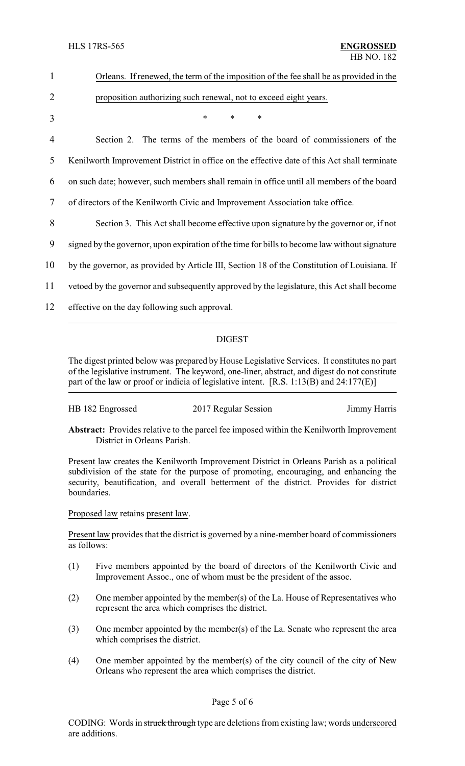| $\mathbf{1}$   | Orleans. If renewed, the term of the imposition of the fee shall be as provided in the        |
|----------------|-----------------------------------------------------------------------------------------------|
| $\overline{2}$ | proposition authorizing such renewal, not to exceed eight years.                              |
| 3              | $\ast$<br>$\ast$<br>$\ast$                                                                    |
| 4              | Section 2. The terms of the members of the board of commissioners of the                      |
| 5              | Kenilworth Improvement District in office on the effective date of this Act shall terminate   |
| 6              | on such date; however, such members shall remain in office until all members of the board     |
| 7              | of directors of the Kenilworth Civic and Improvement Association take office.                 |
| 8              | Section 3. This Act shall become effective upon signature by the governor or, if not          |
| 9              | signed by the governor, upon expiration of the time for bills to become law without signature |
| 10             | by the governor, as provided by Article III, Section 18 of the Constitution of Louisiana. If  |
| 11             | vetoed by the governor and subsequently approved by the legislature, this Act shall become    |
| 12             | effective on the day following such approval.                                                 |
|                | <b>DIGEST</b>                                                                                 |

The digest printed below was prepared by House Legislative Services. It constitutes no part of the legislative instrument. The keyword, one-liner, abstract, and digest do not constitute part of the law or proof or indicia of legislative intent. [R.S. 1:13(B) and 24:177(E)]

| HB 182 Engrossed<br>2017 Regular Session | Jimmy Harris |
|------------------------------------------|--------------|
|------------------------------------------|--------------|

**Abstract:** Provides relative to the parcel fee imposed within the Kenilworth Improvement District in Orleans Parish.

Present law creates the Kenilworth Improvement District in Orleans Parish as a political subdivision of the state for the purpose of promoting, encouraging, and enhancing the security, beautification, and overall betterment of the district. Provides for district boundaries.

Proposed law retains present law.

Present law provides that the district is governed by a nine-member board of commissioners as follows:

- (1) Five members appointed by the board of directors of the Kenilworth Civic and Improvement Assoc., one of whom must be the president of the assoc.
- (2) One member appointed by the member(s) of the La. House of Representatives who represent the area which comprises the district.
- (3) One member appointed by the member(s) of the La. Senate who represent the area which comprises the district.
- (4) One member appointed by the member(s) of the city council of the city of New Orleans who represent the area which comprises the district.